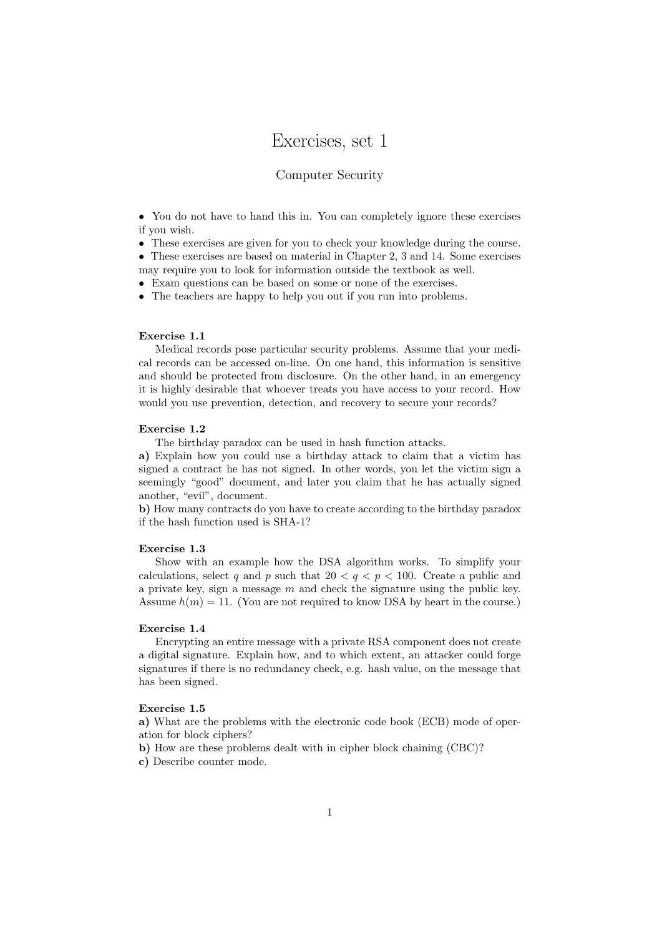# Exercises, set 1

## Computer Security

• You do not have to hand this in. You can completely ignore these exercises if you wish.

• These exercises are given for you to check your knowledge during the course.

• These exercises are based on material in Chapter 2, 3 and 14. Some exercises may require you to look for information outside the textbook as well.

• Exam questions can be based on some or none of the exercises.

• The teachers are happy to help you out if you run into problems.

### Exercise 1.1

Medical records pose particular security problems. Assume that your medical records can be accessed on-line. On one hand, this information is sensitive and should be protected from disclosure. On the other hand, in an emergency it is highly desirable that whoever treats you have access to your record. How would you use prevention, detection, and recovery to secure your records?

## Exercise 1.2

The birthday paradox can be used in hash function attacks.

a) Explain how you could use a birthday attack to claim that a victim has signed a contract he has not signed. In other words, you let the victim sign a seemingly "good" document, and later you claim that he has actually signed another, "evil", document.

b) How many contracts do you have to create according to the birthday paradox if the hash function used is SHA-1?

#### Exercise 1.3

Show with an example how the DSA algorithm works. To simplify your calculations, select q and p such that  $20 < q < p < 100$ . Create a public and a private key, sign a message  $m$  and check the signature using the public key. Assume  $h(m) = 11$ . (You are not required to know DSA by heart in the course.)

### Exercise 1.4

Encrypting an entire message with a private RSA component does not create a digital signature. Explain how, and to which extent, an attacker could forge signatures if there is no redundancy check, e.g. hash value, on the message that has been signed.

## Exercise 1.5

a) What are the problems with the electronic code book (ECB) mode of operation for block ciphers?

- b) How are these problems dealt with in cipher block chaining (CBC)?
- c) Describe counter mode.